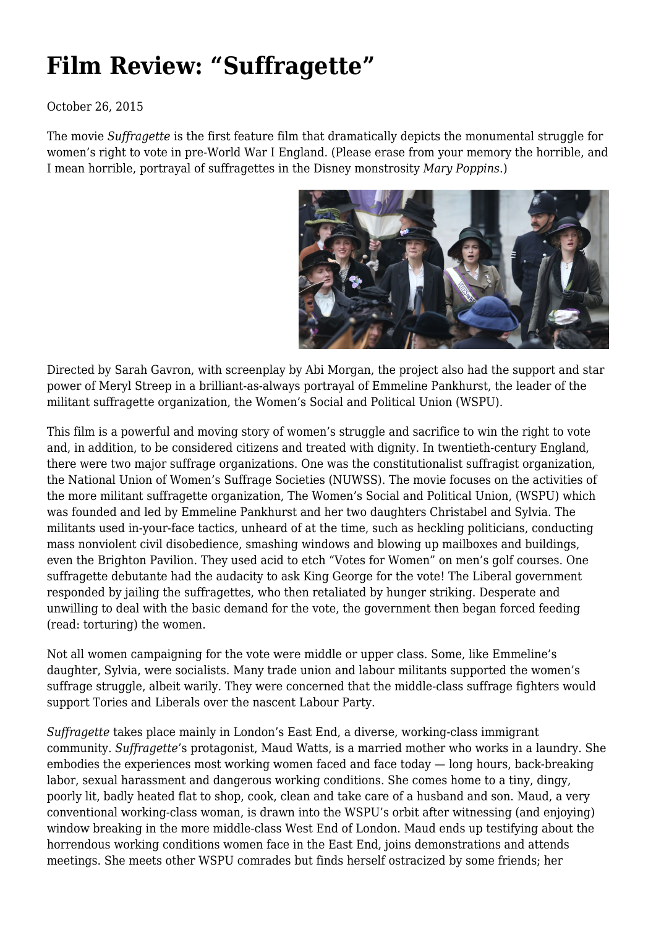## **[Film Review: "Suffragette"](https://newpol.org/film-review-suffragette/)**

## October 26, 2015

The movie *Suffragette* is the first feature film that dramatically depicts the monumental struggle for women's right to vote in pre-World War I England. (Please erase from your memory the horrible, and I mean horrible, portrayal of suffragettes in the Disney monstrosity *Mary Poppins*.)



Directed by Sarah Gavron, with screenplay by Abi Morgan, the project also had the support and star power of Meryl Streep in a brilliant-as-always portrayal of Emmeline Pankhurst, the leader of the militant suffragette organization, the Women's Social and Political Union (WSPU).

This film is a powerful and moving story of women's struggle and sacrifice to win the right to vote and, in addition, to be considered citizens and treated with dignity. In twentieth-century England, there were two major suffrage organizations. One was the constitutionalist suffragist organization, the National Union of Women's Suffrage Societies (NUWSS). The movie focuses on the activities of the more militant suffragette organization, The Women's Social and Political Union, (WSPU) which was founded and led by Emmeline Pankhurst and her two daughters Christabel and Sylvia. The militants used in-your-face tactics, unheard of at the time, such as heckling politicians, conducting mass nonviolent civil disobedience, smashing windows and blowing up mailboxes and buildings, even the Brighton Pavilion. They used acid to etch "Votes for Women" on men's golf courses. One suffragette debutante had the audacity to ask King George for the vote! The Liberal government responded by jailing the suffragettes, who then retaliated by hunger striking. Desperate and unwilling to deal with the basic demand for the vote, the government then began forced feeding (read: torturing) the women.

Not all women campaigning for the vote were middle or upper class. Some, like Emmeline's daughter, Sylvia, were socialists. Many trade union and labour militants supported the women's suffrage struggle, albeit warily. They were concerned that the middle-class suffrage fighters would support Tories and Liberals over the nascent Labour Party.

*Suffragette* takes place mainly in London's East End, a diverse, working-class immigrant community. *Suffragette*'s protagonist, Maud Watts, is a married mother who works in a laundry. She embodies the experiences most working women faced and face today — long hours, back-breaking labor, sexual harassment and dangerous working conditions. She comes home to a tiny, dingy, poorly lit, badly heated flat to shop, cook, clean and take care of a husband and son. Maud, a very conventional working-class woman, is drawn into the WSPU's orbit after witnessing (and enjoying) window breaking in the more middle-class West End of London. Maud ends up testifying about the horrendous working conditions women face in the East End, joins demonstrations and attends meetings. She meets other WSPU comrades but finds herself ostracized by some friends; her